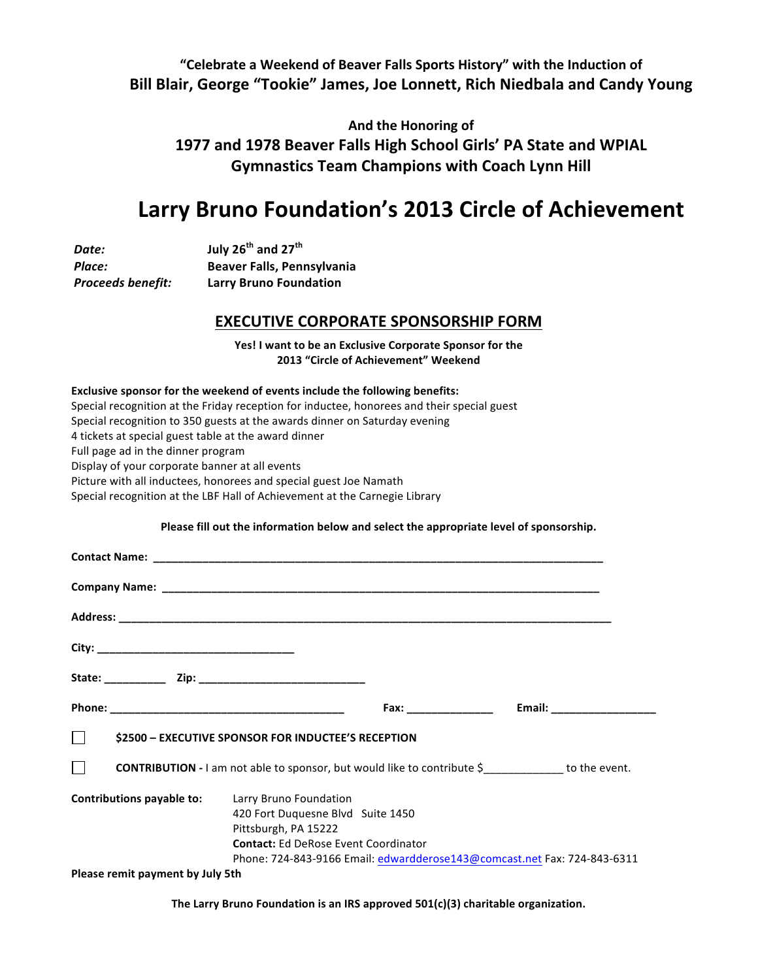## "Celebrate a Weekend of Beaver Falls Sports History" with the Induction of Bill Blair, George "Tookie" James, Joe Lonnett, Rich Niedbala and Candy Young

And the Honoring of 1977 and 1978 Beaver Falls High School Girls' PA State and WPIAL **Gymnastics Team Champions with Coach Lynn Hill** 

# Larry Bruno Foundation's 2013 Circle of Achievement

*Date:* **July 26th and 27th Place: Beaver Falls, Pennsylvania Proceeds benefit:** Larry Bruno Foundation

### **EXECUTIVE CORPORATE SPONSORSHIP FORM**

Yes! I want to be an Exclusive Corporate Sponsor for the **2013 "Circle of Achievement" Weekend** 

#### Exclusive sponsor for the weekend of events include the following benefits:

Special recognition at the Friday reception for inductee, honorees and their special guest Special recognition to 350 guests at the awards dinner on Saturday evening 4 tickets at special guest table at the award dinner Full page ad in the dinner program Display of your corporate banner at all events Picture with all inductees, honorees and special guest Joe Namath Special recognition at the LBF Hall of Achievement at the Carnegie Library

#### Please fill out the information below and select the appropriate level of sponsorship.

| <b>S2500 - EXECUTIVE SPONSOR FOR INDUCTEE'S RECEPTION</b>                       |                                                                                                          |  |                                                                          |
|---------------------------------------------------------------------------------|----------------------------------------------------------------------------------------------------------|--|--------------------------------------------------------------------------|
| <b>CONTRIBUTION</b> - I am not able to sponsor, but would like to contribute \$ |                                                                                                          |  |                                                                          |
| <b>Contributions payable to:</b> Larry Bruno Foundation                         | 420 Fort Duquesne Blvd Suite 1450<br>Pittsburgh, PA 15222<br><b>Contact:</b> Ed DeRose Event Coordinator |  | Phone: 724-843-9166 Email: edwardderose143@comcast.net Fax: 724-843-6311 |
| Please remit payment by July 5th                                                |                                                                                                          |  |                                                                          |

The Larry Bruno Foundation is an IRS approved 501(c)(3) charitable organization.